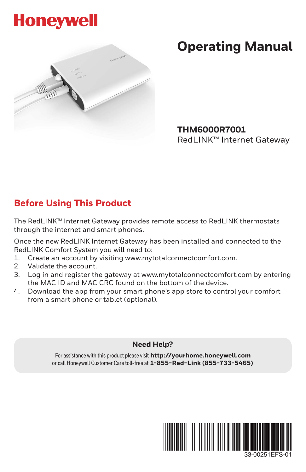



# **Operating Manual**

**THM6000R7001**  RedLINK™ Internet Gateway

## **Before Using This Product**

The RedLINK™ Internet Gateway provides remote access to RedLINK thermostats through the internet and smart phones.

Once the new RedLINK Internet Gateway has been installed and connected to the RedLINK Comfort System you will need to:

- 1. Create an account by visiting www.mytotalconnectcomfort.com.
- 2. Validate the account.
- 3. Log in and register the gateway at www.mytotalconnectcomfort.com by entering the MAC ID and MAC CRC found on the bottom of the device.
- 4. Download the app from your smart phone's app store to control your comfort from a smart phone or tablet (optional).

#### **Need Help?**

For assistance with this product please visit **http://yourhome.honeywell.com** or call Honeywell Customer Care toll-free at **1-855-Red-Link (855-733-5465)**



33-00251EFS-01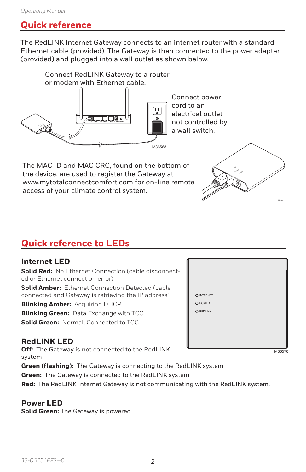### **Quick reference**

The RedLINK Internet Gateway connects to an internet router with a standard Ethernet cable (provided). The Gateway is then connected to the power adapter (provided) and plugged into a wall outlet as shown below.



The MAC ID and MAC CRC, found on the bottom of the device, are used to register the Gateway at www.mytotalconnectcomfort.com for on-line remote access of your climate control system.

# **Quick reference to LEDs**

#### **Internet LED**

**Solid Red:** No Ethernet Connection (cable disconnected or Ethernet connection error)

**Solid Amber:** Ethernet Connection Detected (cable connected and Gateway is retrieving the IP address)

**Blinking Amber:** Acquiring DHCP

**Blinking Green: Data Exchange with TCC** 

**Solid Green: Normal, Connected to TCC** 

#### **RedLINK LED**

**Off:** The Gateway is not connected to the RedLINK system **Green (flashing):** The Gateway is connecting to the RedLINK system

**Green:** The Gateway is connected to the RedLINK system

**Red:** The RedLINK Internet Gateway is not communicating with the RedLINK system.

#### **Power LED**

**Solid Green:** The Gateway is powered



INTERNET POWER REDLINK

M36570

M36571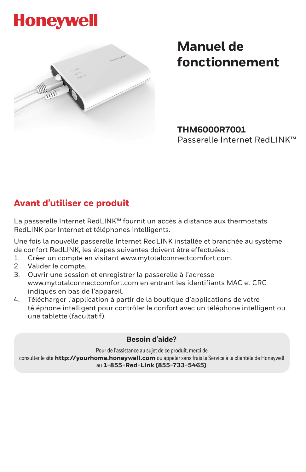# **Honeywell**



# **Manuel de fonctionnement**

**THM6000R7001**  Passerelle Internet RedLINK™

# **Avant d'utiliser ce produit**

La passerelle Internet RedLINK™ fournit un accès à distance aux thermostats RedLINK par Internet et téléphones intelligents.

Une fois la nouvelle passerelle Internet RedLINK installée et branchée au système de confort RedLINK, les étapes suivantes doivent être effectuées :

- 1. Créer un compte en visitant www.mytotalconnectcomfort.com.
- 2. Valider le compte.
- 3. Ouvrir une session et enregistrer la passerelle à l'adresse www.mytotalconnectcomfort.com en entrant les identifiants MAC et CRC indiqués en bas de l'appareil.
- 4. Télécharger l'application à partir de la boutique d'applications de votre téléphone intelligent pour contrôler le confort avec un téléphone intelligent ou une tablette (facultatif).

#### **Besoin d'aide?**

Pour de l'assistance au sujet de ce produit, merci de

consulter le site **http://yourhome.honeywell.com** ou appeler sans frais le Service à la clientèle de Honeywell au **1-855-Red-Link (855-733-5465)**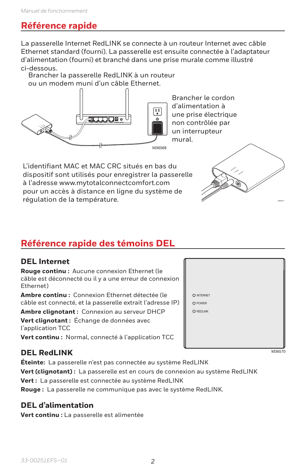### **Référence rapide**

La passerelle Internet RedLINK se connecte à un routeur Internet avec câble Ethernet standard (fourni). La passerelle est ensuite connectée à l'adaptateur d'alimentation (fourni) et branché dans une prise murale comme illustré ci-dessous.

Brancher la passerelle RedLINK à un routeur ou un modem muni d'un câble Ethernet.



Brancher le cordon d'alimentation à une prise électrique non contrôlée par un interrupteur mural.

L'identifiant MAC et MAC CRC situés en bas du dispositif sont utilisés pour enregistrer la passerelle à l'adresse www.mytotalconnectcomfort.com pour un accès à distance en ligne du système de régulation de la température.



# **Référence rapide des témoins DEL**

#### **DEL Internet**

**Rouge continu :** Aucune connexion Ethernet (le câble est déconnecté ou il y a une erreur de connexion Ethernet)

**Ambre continu :** Connexion Ethernet détectée (le câble est connecté, et la passerelle extrait l'adresse IP)

**Ambre clignotant :** Connexion au serveur DHCP **Vert clignotant :** Échange de données avec l'application TCC

**Vert continu :** Normal, connecté à l'application TCC

#### **DEL RedLINK**

**Éteinte:** La passerelle n'est pas connectée au système RedLINK

**Vert (clignotant) :** La passerelle est en cours de connexion au système RedLINK

**Vert :** La passerelle est connectée au système RedLINK

**Rouge :** La passerelle ne communique pas avec le système RedLINK.

#### **DEL d'alimentation**

**Vert continu :** La passerelle est alimentée



M36570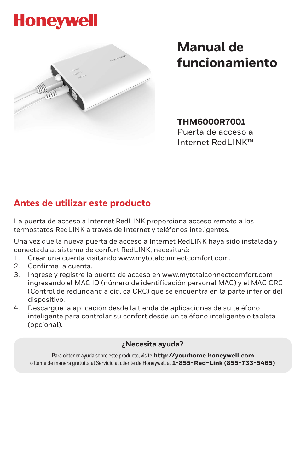# **Honeywell**



# **Manual de funcionamiento**

**THM6000R7001** 

Puerta de acceso a Internet RedLINK™

## **Antes de utilizar este producto**

La puerta de acceso a Internet RedLINK proporciona acceso remoto a los termostatos RedLINK a través de Internet y teléfonos inteligentes.

Una vez que la nueva puerta de acceso a Internet RedLINK haya sido instalada y conectada al sistema de confort RedLINK, necesitará:

- 1. Crear una cuenta visitando www.mytotalconnectcomfort.com.
- 2. Confirme la cuenta.
- 3. Ingrese y registre la puerta de acceso en www.mytotalconnectcomfort.com ingresando el MAC ID (número de identificación personal MAC) y el MAC CRC (Control de redundancia cíclica CRC) que se encuentra en la parte inferior del dispositivo.
- 4. Descargue la aplicación desde la tienda de aplicaciones de su teléfono inteligente para controlar su confort desde un teléfono inteligente o tableta (opcional).

#### **¿Necesita ayuda?**

Para obtener ayuda sobre este producto, visite **http://yourhome.honeywell.com** o llame de manera gratuita al Servicio al cliente de Honeywell al **1-855-Red-Link (855-733-5465)**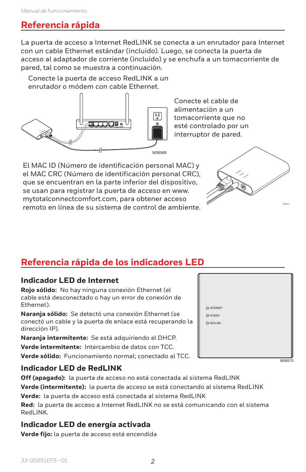# **Referencia rápida**

La puerta de acceso a Internet RedLINK se conecta a un enrutador para Internet con un cable Ethernet estándar (incluido). Luego, se conecta la puerta de acceso al adaptador de corriente (incluido) y se enchufa a un tomacorriente de pared, tal como se muestra a continuación.

Conecte la puerta de acceso RedLINK a un enrutador o módem con cable Ethernet.



Conecte el cable de alimentación a un tomacorriente que no esté controlado por un interruptor de pared.

El MAC ID (Número de identificación personal MAC) y el MAC CRC (Número de identificación personal CRC), que se encuentran en la parte inferior del dispositivo, se usan para registrar la puerta de acceso en www. mytotalconnectcomfort.com, para obtener acceso remoto en línea de su sistema de control de ambiente.



# **Referencia rápida de los indicadores LED**

#### **Indicador LED de Internet**

**Rojo sólido:** No hay ninguna conexión Ethernet (el cable está desconectado o hay un error de conexión de Ethernet).

**Naranja sólido:** Se detectó una conexión Ethernet (se conectó un cable y la puerta de enlace está recuperando la dirección IP).

**Naranja intermitente:** Se está adquiriendo el DHCP. **Verde intermitente:** Intercambio de datos con TCC. **Verde sólido:** Funcionamiento normal; conectado al TCC.

#### **Indicador LED de RedLINK**

**Off (apagado):** la puerta de acceso no está conectada al sistema RedLINK **Verde (intermitente):** la puerta de acceso se está conectando al sistema RedLINK **Verde:** la puerta de acceso está conectada al sistema RedLINK

**Red:** la puerta de acceso a Internet RedLINK no se está comunicando con el sistema RedLINK.

#### **Indicador LED de energía activada**

**Verde fijo:** la puerta de acceso está encendida

|   | O INTERNET |
|---|------------|
|   | O POWER    |
| g | O REDLINK  |
|   |            |
|   |            |
|   |            |
|   |            |
|   |            |

M36570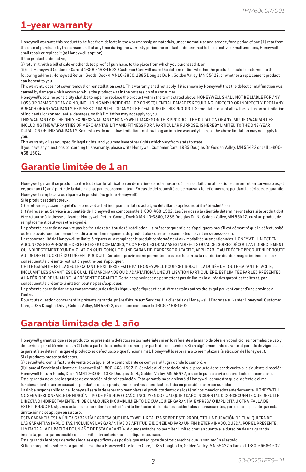## **1-year warranty**

Honeywell warrants this product to be free from defects in the workmanship or materials, under normal use and service, for a period of one (1) year from the date of purchase by the consumer. If at any time during the warranty period the product is determined to be defective or malfunctions, Honeywell shall repair or replace it (at Honeywell's option).

If the product is defective,

(i) return it, with a bill of sale or other dated proof of purchase, to the place from which you purchased it; or

(ii) call Honeywell Customer Care at 1-800-468-1502. Customer Care will make the determination whether the product should be returned to the following address: Honeywell Return Goods, Dock 4 MN10-3860, 1885 Douglas Dr. N., Golden Valley, MN 55422, or whether a replacement product can be sent to you.

This warranty does not cover removal or reinstallation costs. This warranty shall not apply if it is shown by Honeywell that the defect or malfunction was caused by damage which occurred while the product was in the possession of a consumer.

Honeywell's sole responsibility shall be to repair or replace the product within the terms stated above. HONEYWELL SHALL NOT BE LIABLE FOR ANY LOSS OR DAMAGE OF ANY KIND, INCLUDING ANY INCIDENTAL OR CONSEQUENTIAL DAMAGES RESULTING, DIRECTLY OR INDIRECTLY, FROM ANY BREACH OF ANY WARRANTY, EXPRESS OR IMPLIED, OR ANY OTHER FAILURE OF THIS PRODUCT. Some states do not allow the exclusion or limitation of incidental or consequential damages, so this limitation may not apply to you.

THIS WARRANTY IS THE ONLY EXPRESS WARRANTY HONEYWELL MAKES ON THIS PRODUCT. THE DURATION OF ANY IMPLIED WARRANTIES, INCLUDING THE WARRANTIES OF MERCHANTABILITY AND FITNESS FOR A PARTICULAR PURPOSE, IS HEREBY LIMITED TO THE ONE-YEAR DURATION OF THIS WARRANTY. Some states do not allow limitations on how long an implied warranty lasts, so the above limitation may not apply to you.

This warranty gives you specific legal rights, and you may have other rights which vary from state to state. If you have any questions concerning this warranty, please write Honeywell Customer Care, 1985 Douglas Dr. Golden Valley, MN 55422 or call 1-800- 468-1502.

# **Garantie limitée de 1 an**

Honeywell garantit ce produit contre tout vice de fabrication ou de matière dans la mesure où il en est fait une utilisation et un entretien convenables, et ce, pour un (1) an à partir de la date d'achat par le consommateur. En cas de défectuosité ou de mauvais fonctionnement pendant la période de garantie, Honeywell remplacera ou réparera le produit (au gré de Honeywell).

Si le produit est défectueux,

(i) le retourner, accompagné d'une preuve d'achat indiquant la date d'achat, au détaillant auprès de qui il a été acheté, ou

(ii) s'adresser au Service à la clientèle de Honeywell en composant le 1-800-468-1502. Les Services à la clientèle détermineront alors si le produit doit être retourné à l'adresse suivante : Honeywell Return Goods, Dock 4 MN 10-3860, 1885 Douglas Dr. N., Golden Valley, MN 55422, ou si un produit de remplacement peut vous être expédié.

La présente garantie ne couvre pas les frais de retrait ou de réinstallation. La présente garantie ne s'appliquera pas s'il est démontré que la défectuosité ou le mauvais fonctionnement est dû à un endommagement du produit alors que le consommateur l'avait en sa possession.

La responsabilité de Honeywell se limite à réparer ou à remplacer le produit conformément aux modalités susmentionnées. HONEYWELL N'EST EN AUCUN CAS RESPONSABLE DES PERTES OU DOMMAGES, Y COMPRIS LES DOMMAGES INDIRECTS OU ACCESSOIRES DÉCOULANT DIRECTEMENT OU INDIRECTEMENT D'UNE VIOLATION QUELCONQUE D'UNE GARANTIE, EXPRESSE OU TACITE, APPLICABLE AU PRÉSENT PRODUIT NI DE TOUTE AUTRE DÉFECTUOSITÉ DU PRÉSENT PRODUIT. Certaines provinces ne permettent pas l'exclusion ou la restriction des dommages indirects et, par conséquent, la présente restriction peut ne pas s'appliquer.

CETTE GARANTIE EST LA SEULE GARANTIE EXPRESSE FAITE PAR HONEYWELL POUR CE PRODUIT. LA DURÉE DE TOUTE GARANTIE TACITE, INCLUANT LES GARANTIES DE QUALITÉ MARCHANDE OU D'ADAPTATION À UNE UTILISATION PARTICULIÈRE, EST LIMITÉE PAR LES PRÉSENTES À LA PÉRIODE DE UN AN DE LA PRÉSENTE GARANTIE. Certaines provinces ne permettent pas de limiter la durée des garanties tacites et, par conséquent, la présente limitation peut ne pas s'appliquer.

La présente garantie donne au consommateur des droits légaux spécifiques et peut-être certains autres droits qui peuvent varier d'une province à l'autre.

Pour toute question concernant la présente garantie, prière d'écrire aux Services à la clientèle de Honeywell à l'adresse suivante : Honeywell Customer Care, 1985 Douglas Drive, Golden Valley, MN 55422, ou encore composer le 1-800-468-1502.

# **Garantía limitada de 1 año**

Honeywell garantiza que este producto no presentará defectos en los materiales ni en lo referente a la mano de obra, en condiciones normales de uso y de servicio, por el término de un (1) año a partir de la fecha de compra por parte del consumidor. Si en algún momento durante el período de vigencia de la garantía se determina que el producto es defectuoso o que funciona mal, Honeywell lo reparará o lo reemplazará (a elección de Honeywell). Si el producto presenta defectos,

(i) devuélvalo, con la factura de venta o cualquier otro comprobante de compra, al lugar donde lo compró, o

(ii) llame al Servicio al cliente de Honeywell al 1-800-468-1502. El Servicio al cliente decidirá si el producto debe ser devuelto a la siguiente dirección: Honeywell Return Goods, Dock 4 MN10-3860, 1885 Douglas Dr. N., Golden Valley, MN 55422, o si se le puede enviar un producto de reemplazo. Esta garantía no cubre los gastos de extracción ni de reinstalación. Esta garantía no se aplicará si Honeywell demuestra que el defecto o el mal funcionamiento fueron causados por daños que se produjeron mientras el producto estaba en posesión de un consumidor.

La única responsabilidad de Honeywell será la de reparar o reemplazar el producto dentro de los términos mencionados anteriormente. HONEYWELL NO SERÁ RESPONSABLE DE NINGÚN TIPO DE PÉRDIDA O DAÑO, INCLUYENDO CUALQUIER DAÑO INCIDENTAL O CONSECUENTE QUE RESULTE, DIRECTA O INDIRECTAMENTE, NI DE CUALQUIER INCUMPLIMIENTO DE CUALQUIER GARANTÍA, EXPRESA O IMPLÍCITA U OTRA FALLA DE ESTE PRODUCTO. Algunos estados no permiten la exclusión ni la limitación de los daños incidentales o consecuentes, por lo que es posible que esta limitación no se aplique en su caso.

ESTA GARANTÍA ES LA ÚNICA GARANTÍA EXPRESA QUE HONEYWELL REALIZA SOBRE ESTE PRODUCTO. LA DURACIÓN DE CUALQUIERA DE LAS GARANTÍAS IMPLÍCITAS, INCLUIDAS LAS GARANTÍAS DE APTITUD E IDONEIDAD PARA UN FIN DETERMINADO, QUEDA, POR EL PRESENTE, LIMITADA A LA DURACIÓN DE UN AÑO DE ESTA GARANTÍA. Algunos estados no permiten limitaciones en cuanto a la duración de una garantía implícita, por lo que es posible que la limitación anterior no se aplique en su caso.

Esta garantía le otorga derechos legales específicos y es posible que usted goce de otros derechos que varían según el estado.

Si tiene preguntas sobre esta garantía, escriba a Honeywell Customer Care, 1985 Douglas Dr, Golden Valley, MN 55422 o llame al 1-800-468-1502.